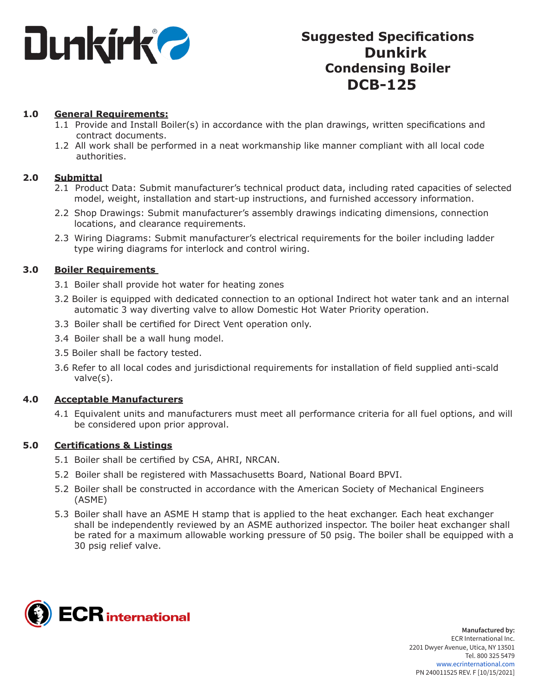

## **Suggested Specifications Dunkirk Condensing Boiler DCB-125**

## **1.0 General Requirements:**

- 1.1 Provide and Install Boiler(s) in accordance with the plan drawings, written specifications and contract documents.
- 1.2 All work shall be performed in a neat workmanship like manner compliant with all local code authorities.

#### **2.0 Submittal**

- 2.1 Product Data: Submit manufacturer's technical product data, including rated capacities of selected model, weight, installation and start-up instructions, and furnished accessory information.
- 2.2 Shop Drawings: Submit manufacturer's assembly drawings indicating dimensions, connection locations, and clearance requirements.
- 2.3 Wiring Diagrams: Submit manufacturer's electrical requirements for the boiler including ladder type wiring diagrams for interlock and control wiring.

## **3.0 Boiler Requirements**

- 3.1 Boiler shall provide hot water for heating zones
- 3.2 Boiler is equipped with dedicated connection to an optional Indirect hot water tank and an internal automatic 3 way diverting valve to allow Domestic Hot Water Priority operation.
- 3.3 Boiler shall be certified for Direct Vent operation only.
- 3.4 Boiler shall be a wall hung model.
- 3.5 Boiler shall be factory tested.
- 3.6 Refer to all local codes and jurisdictional requirements for installation of field supplied anti-scald valve(s).

#### **4.0 Acceptable Manufacturers**

4.1 Equivalent units and manufacturers must meet all performance criteria for all fuel options, and will be considered upon prior approval.

## **5.0 Certifications & Listings**

- 5.1 Boiler shall be certified by CSA, AHRI, NRCAN.
- 5.2 Boiler shall be registered with Massachusetts Board, National Board BPVI.
- 5.2 Boiler shall be constructed in accordance with the American Society of Mechanical Engineers (ASME)
- 5.3 Boiler shall have an ASME H stamp that is applied to the heat exchanger. Each heat exchanger shall be independently reviewed by an ASME authorized inspector. The boiler heat exchanger shall be rated for a maximum allowable working pressure of 50 psig. The boiler shall be equipped with a 30 psig relief valve.

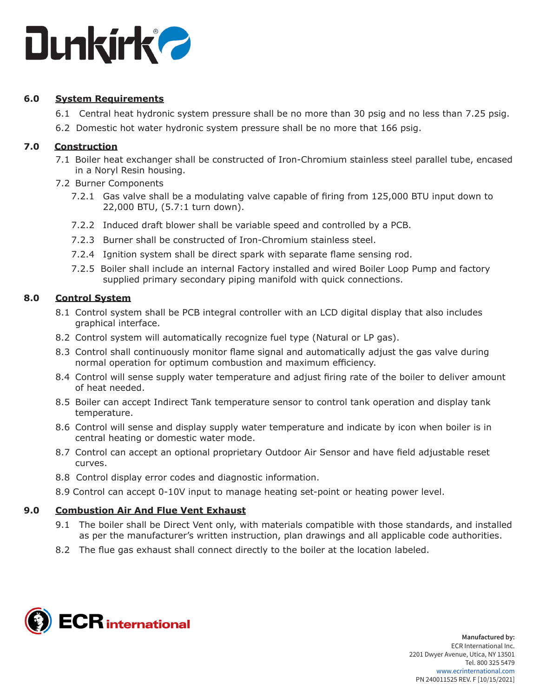

## **6.0 System Requirements**

- 6.1 Central heat hydronic system pressure shall be no more than 30 psig and no less than 7.25 psig.
- 6.2 Domestic hot water hydronic system pressure shall be no more that 166 psig.

## **7.0 Construction**

- 7.1 Boiler heat exchanger shall be constructed of Iron-Chromium stainless steel parallel tube, encased in a Noryl Resin housing.
- 7.2 Burner Components
	- 7.2.1 Gas valve shall be a modulating valve capable of firing from 125,000 BTU input down to 22,000 BTU, (5.7:1 turn down).
	- 7.2.2 Induced draft blower shall be variable speed and controlled by a PCB.
	- 7.2.3 Burner shall be constructed of Iron-Chromium stainless steel.
	- 7.2.4 Ignition system shall be direct spark with separate flame sensing rod.
	- 7.2.5 Boiler shall include an internal Factory installed and wired Boiler Loop Pump and factory supplied primary secondary piping manifold with quick connections.

## **8.0 Control System**

- 8.1 Control system shall be PCB integral controller with an LCD digital display that also includes graphical interface.
- 8.2 Control system will automatically recognize fuel type (Natural or LP gas).
- 8.3 Control shall continuously monitor flame signal and automatically adjust the gas valve during normal operation for optimum combustion and maximum efficiency.
- 8.4 Control will sense supply water temperature and adjust firing rate of the boiler to deliver amount of heat needed.
- 8.5 Boiler can accept Indirect Tank temperature sensor to control tank operation and display tank temperature.
- 8.6 Control will sense and display supply water temperature and indicate by icon when boiler is in central heating or domestic water mode.
- 8.7 Control can accept an optional proprietary Outdoor Air Sensor and have field adjustable reset curves.
- 8.8 Control display error codes and diagnostic information.
- 8.9 Control can accept 0-10V input to manage heating set-point or heating power level.

## **9.0 Combustion Air And Flue Vent Exhaust**

- 9.1 The boiler shall be Direct Vent only, with materials compatible with those standards, and installed as per the manufacturer's written instruction, plan drawings and all applicable code authorities.
- 8.2 The flue gas exhaust shall connect directly to the boiler at the location labeled.